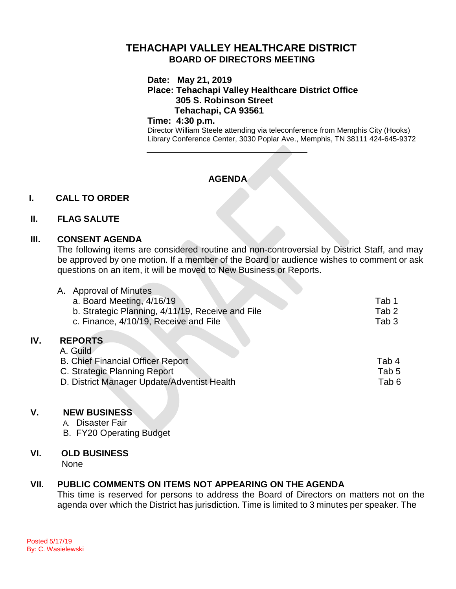# **TEHACHAPI VALLEY HEALTHCARE DISTRICT BOARD OF DIRECTORS MEETING**

**Date: May 21, 2019**

**Place: Tehachapi Valley Healthcare District Office 305 S. Robinson Street Tehachapi, CA 93561**

#### **Time: 4:30 p.m.**

Director William Steele attending via teleconference from Memphis City (Hooks) Library Conference Center, 3030 Poplar Ave., Memphis, TN 38111 424-645-9372

# **AGENDA**

## **I. CALL TO ORDER**

### **II. FLAG SALUTE**

### **III. CONSENT AGENDA**

The following items are considered routine and non-controversial by District Staff, and may be approved by one motion. If a member of the Board or audience wishes to comment or ask questions on an item, it will be moved to New Business or Reports.

|     | <b>Approval of Minutes</b>                       |                  |
|-----|--------------------------------------------------|------------------|
|     | a. Board Meeting, 4/16/19                        | Tab 1            |
|     | b. Strategic Planning, 4/11/19, Receive and File | Tab <sub>2</sub> |
|     | c. Finance, 4/10/19, Receive and File            | Tab <sub>3</sub> |
| IV. | <b>REPORTS</b>                                   |                  |
|     | A. Guild                                         |                  |
|     | <b>B. Chief Financial Officer Report</b>         | Tab 4            |
|     | C. Strategic Planning Report                     | Tab 5            |
|     | D. District Manager Update/Adventist Health      | Tab <sub>6</sub> |
|     |                                                  |                  |

## **V. NEW BUSINESS**

- A. Disaster Fair
- B. FY20 Operating Budget

## **VI. OLD BUSINESS**

None

# **VII. PUBLIC COMMENTS ON ITEMS NOT APPEARING ON THE AGENDA**

This time is reserved for persons to address the Board of Directors on matters not on the agenda over which the District has jurisdiction. Time is limited to 3 minutes per speaker. The

**IV. REPORTS**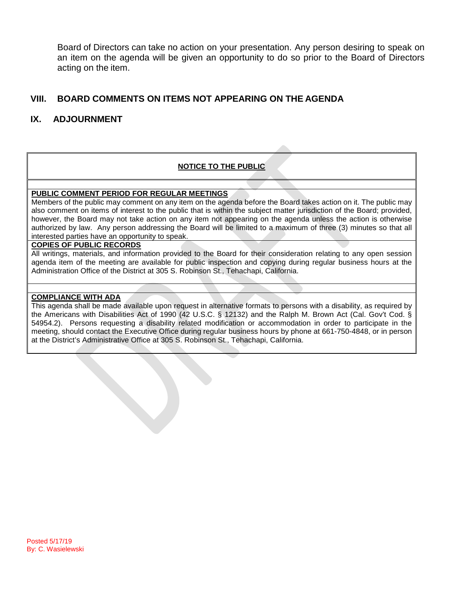Board of Directors can take no action on your presentation. Any person desiring to speak on an item on the agenda will be given an opportunity to do so prior to the Board of Directors acting on the item.

## **VIII. BOARD COMMENTS ON ITEMS NOT APPEARING ON THE AGENDA**

## **IX. ADJOURNMENT**

#### **NOTICE TO THE PUBLIC**

#### **PUBLIC COMMENT PERIOD FOR REGULAR MEETINGS**

Members of the public may comment on any item on the agenda before the Board takes action on it. The public may also comment on items of interest to the public that is within the subject matter jurisdiction of the Board; provided, however, the Board may not take action on any item not appearing on the agenda unless the action is otherwise authorized by law. Any person addressing the Board will be limited to a maximum of three (3) minutes so that all interested parties have an opportunity to speak.

#### **COPIES OF PUBLIC RECORDS**

All writings, materials, and information provided to the Board for their consideration relating to any open session agenda item of the meeting are available for public inspection and copying during regular business hours at the Administration Office of the District at 305 S. Robinson St., Tehachapi, California.

#### **COMPLIANCE WITH ADA**

This agenda shall be made available upon request in alternative formats to persons with a disability, as required by the Americans with Disabilities Act of 1990 (42 U.S.C. § 12132) and the Ralph M. Brown Act (Cal. Gov't Cod. § 54954.2). Persons requesting a disability related modification or accommodation in order to participate in the meeting, should contact the Executive Office during regular business hours by phone at 661-750-4848, or in person at the District's Administrative Office at 305 S. Robinson St., Tehachapi, California.